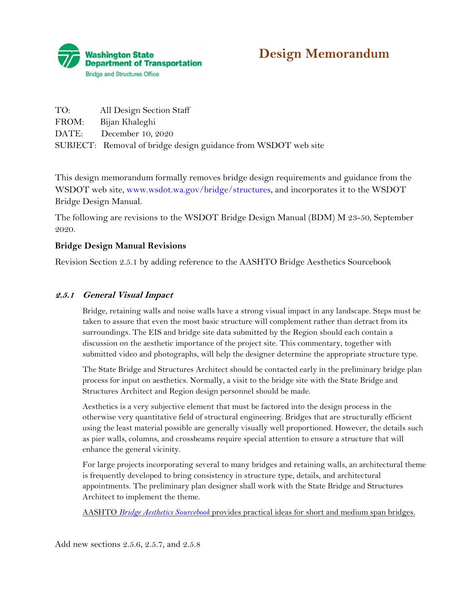

# **Design Memorandum**

| TO: All Design Section Staff                                   |
|----------------------------------------------------------------|
| FROM: Bijan Khaleghi                                           |
| DATE: December 10, 2020                                        |
| SUBJECT: Removal of bridge design guidance from WSDOT web site |

This design memorandum formally removes bridge design requirements and guidance from the WSDOT web site, <www.wsdot.wa.gov/bridge/structures>, and incorporates it to the WSDOT Bridge Design Manual.

The following are revisions to the WSDOT Bridge Design Manual (BDM) M 23-50, September 2020.

### **Bridge Design Manual Revisions**

Revision Section 2.5.1 by adding reference to the AASHTO Bridge Aesthetics Sourcebook

### **2.5.1 General Visual Impact**

Bridge, retaining walls and noise walls have a strong visual impact in any landscape. Steps must be taken to assure that even the most basic structure will complement rather than detract from its surroundings. The EIS and bridge site data submitted by the Region should each contain a discussion on the aesthetic importance of the project site. This commentary, together with submitted video and photographs, will help the designer determine the appropriate structure type.

The State Bridge and Structures Architect should be contacted early in the preliminary bridge plan process for input on aesthetics. Normally, a visit to the bridge site with the State Bridge and Structures Architect and Region design personnel should be made.

Aesthetics is a very subjective element that must be factored into the design process in the otherwise very quantitative field of structural engineering. Bridges that are structurally efficient using the least material possible are generally visually well proportioned. However, the details such as pier walls, columns, and crossbeams require special attention to ensure a structure that will enhance the general vicinity.

For large projects incorporating several to many bridges and retaining walls, an architectural theme is frequently developed to bring consistency in structure type, details, and architectural appointments. The preliminary plan designer shall work with the State Bridge and Structures Architect to implement the theme.

AASHTO *Bridge Aesthetics Sourcebook* provides practical ideas for short and medium span bridges.

Add new sections 2.5.6, 2.5.7, and 2.5.8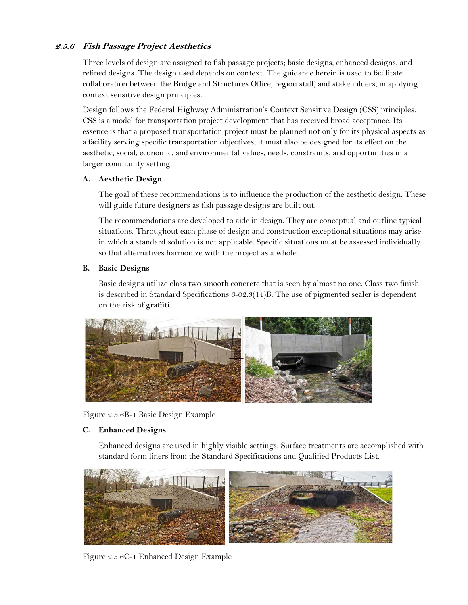## **2.5.6 Fish Passage Project Aesthetics**

Three levels of design are assigned to fish passage projects; basic designs, enhanced designs, and refined designs. The design used depends on context. The guidance herein is used to facilitate collaboration between the Bridge and Structures Office, region staff, and stakeholders, in applying context sensitive design principles.

Design follows the Federal Highway Administration's Context Sensitive Design (CSS) principles. CSS is a model for transportation project development that has received broad acceptance. Its essence is that a proposed transportation project must be planned not only for its physical aspects as a facility serving specific transportation objectives, it must also be designed for its effect on the aesthetic, social, economic, and environmental values, needs, constraints, and opportunities in a larger community setting.

### **A. Aesthetic Design**

The goal of these recommendations is to influence the production of the aesthetic design. These will guide future designers as fish passage designs are built out.

The recommendations are developed to aide in design. They are conceptual and outline typical situations. Throughout each phase of design and construction exceptional situations may arise in which a standard solution is not applicable. Specific situations must be assessed individually so that alternatives harmonize with the project as a whole.

### **B. Basic Designs**

Basic designs utilize class two smooth concrete that is seen by almost no one. Class two finish is described in Standard Specifications 6-02.3(14)B. The use of pigmented sealer is dependent on the risk of graffiti.



Figure 2.5.6B-1 Basic Design Example

#### **C. Enhanced Designs**

Enhanced designs are used in highly visible settings. Surface treatments are accomplished with standard form liners from the Standard Specifications and Qualified Products List.



Figure 2.5.6C-1 Enhanced Design Example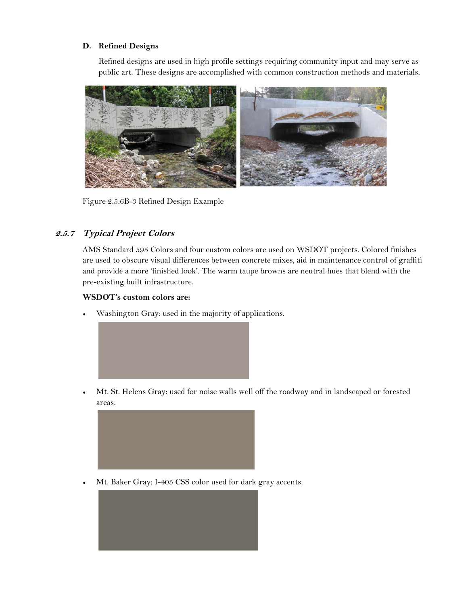### **D. Refined Designs**

Refined designs are used in high profile settings requiring community input and may serve as public art. These designs are accomplished with common construction methods and materials.



Figure 2.5.6B-3 Refined Design Example

# **2.5.7 Typical Project Colors**

AMS Standard 595 Colors and four custom colors are used on WSDOT projects. Colored finishes are used to obscure visual differences between concrete mixes, aid in maintenance control of graffiti and provide a more 'finished look'. The warm taupe browns are neutral hues that blend with the pre-existing built infrastructure.

#### **WSDOT's custom colors are:**

• Washington Gray: used in the majority of applications.



• Mt. St. Helens Gray: used for noise walls well off the roadway and in landscaped or forested areas.



• Mt. Baker Gray: I-405 CSS color used for dark gray accents.

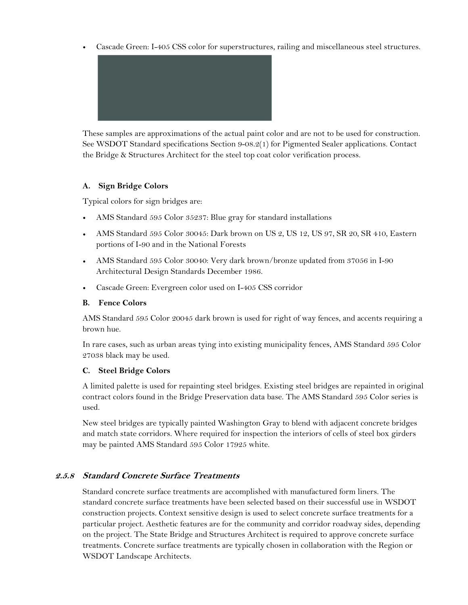• Cascade Green: I-405 CSS color for superstructures, railing and miscellaneous steel structures.



These samples are approximations of the actual paint color and are not to be used for construction. See WSDOT Standard specifications Section 9-08.2(1) for Pigmented Sealer applications. Contact the Bridge & Structures Architect for the steel top coat color verification process.

### **A. Sign Bridge Colors**

Typical colors for sign bridges are:

- AMS Standard 595 Color 35237: Blue gray for standard installations
- AMS Standard 595 Color 30045: Dark brown on US 2, US 12, US 97, SR 20, SR 410, Eastern portions of I-90 and in the National Forests
- AMS Standard 595 Color 30040: Very dark brown/bronze updated from 37056 in I-90 Architectural Design Standards December 1986.
- Cascade Green: Evergreen color used on I-405 CSS corridor

#### **B. Fence Colors**

AMS Standard 595 Color 20045 dark brown is used for right of way fences, and accents requiring a brown hue.

In rare cases, such as urban areas tying into existing municipality fences, AMS Standard 595 Color 27038 black may be used.

### **C. Steel Bridge Colors**

A limited palette is used for repainting steel bridges. Existing steel bridges are repainted in original contract colors found in the Bridge Preservation data base. The AMS Standard 595 Color series is used.

New steel bridges are typically painted Washington Gray to blend with adjacent concrete bridges and match state corridors. Where required for inspection the interiors of cells of steel box girders may be painted AMS Standard 595 Color 17925 white.

### **2.5.8 Standard Concrete Surface Treatments**

Standard concrete surface treatments are accomplished with manufactured form liners. The standard concrete surface treatments have been selected based on their successful use in WSDOT construction projects. Context sensitive design is used to select concrete surface treatments for a particular project. Aesthetic features are for the community and corridor roadway sides, depending on the project. The State Bridge and Structures Architect is required to approve concrete surface treatments. Concrete surface treatments are typically chosen in collaboration with the Region or WSDOT Landscape Architects.